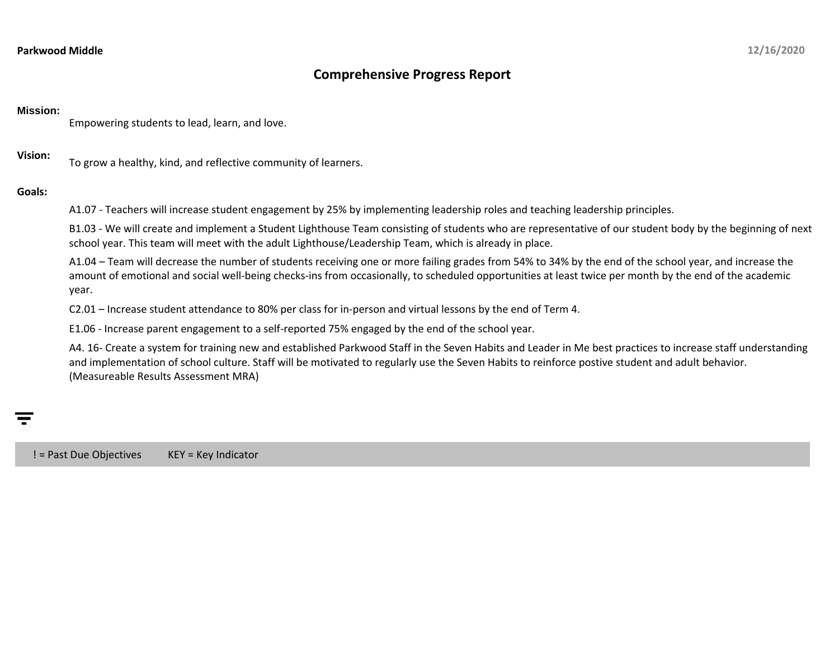## **Comprehensive Progress Report**

## **Mission:**

Empowering students to lead, learn, and love.

**Vision:** To grow a healthy, kind, and reflective community of learners.

## **Goals:**

A1.07 - Teachers will increase student engagement by 25% by implementing leadership roles and teaching leadership principles.

B1.03 - We will create and implement a Student Lighthouse Team consisting of students who are representative of our student body by the beginning of next school year. This team will meet with the adult Lighthouse/Leadership Team, which is already in place.

A1.04 – Team will decrease the number of students receiving one or more failing grades from 54% to 34% by the end of the school year, and increase the amount of emotional and social well-being checks-ins from occasionally, to scheduled opportunities at least twice per month by the end of the academic year.

C2.01 – Increase student attendance to 80% per class for in-person and virtual lessons by the end of Term 4.

E1.06 - Increase parent engagement to a self-reported 75% engaged by the end of the school year.

A4. 16- Create a system for training new and established Parkwood Staff in the Seven Habits and Leader in Me best practices to increase staff understanding and implementation of school culture. Staff will be motivated to regularly use the Seven Habits to reinforce postive student and adult behavior. (Measureable Results Assessment MRA)

! = Past Due Objectives KEY = Key Indicator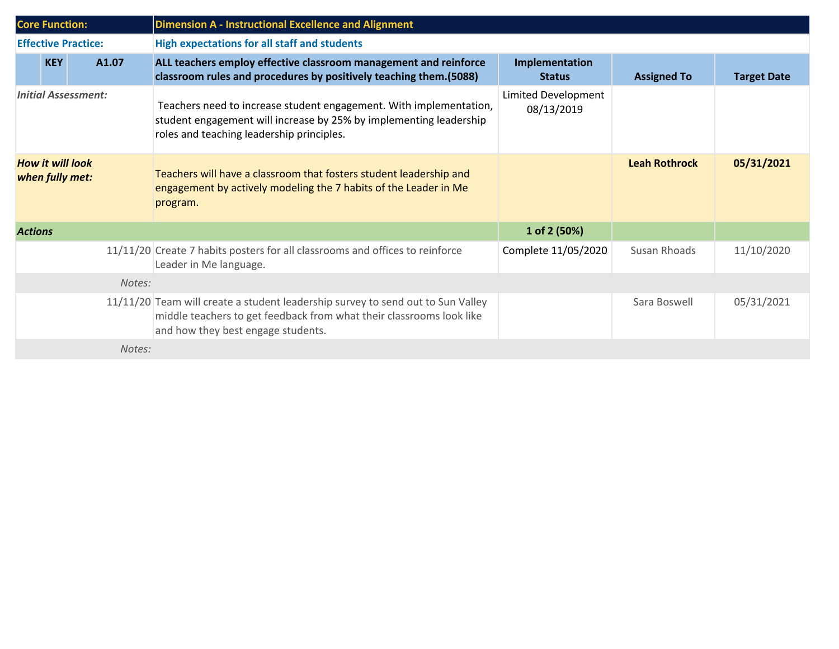| <b>Core Function:</b>                      |            |       | <b>Dimension A - Instructional Excellence and Alignment</b>                                                                                                                                   |                                   |                      |                    |  |  |
|--------------------------------------------|------------|-------|-----------------------------------------------------------------------------------------------------------------------------------------------------------------------------------------------|-----------------------------------|----------------------|--------------------|--|--|
| <b>Effective Practice:</b>                 |            |       | <b>High expectations for all staff and students</b>                                                                                                                                           |                                   |                      |                    |  |  |
|                                            | <b>KEY</b> | A1.07 | ALL teachers employ effective classroom management and reinforce<br>classroom rules and procedures by positively teaching them. (5088)                                                        | Implementation<br><b>Status</b>   | <b>Assigned To</b>   | <b>Target Date</b> |  |  |
| <b>Initial Assessment:</b>                 |            |       | Teachers need to increase student engagement. With implementation,<br>student engagement will increase by 25% by implementing leadership<br>roles and teaching leadership principles.         | Limited Development<br>08/13/2019 |                      |                    |  |  |
| <b>How it will look</b><br>when fully met: |            |       | Teachers will have a classroom that fosters student leadership and<br>engagement by actively modeling the 7 habits of the Leader in Me<br>program.                                            |                                   | <b>Leah Rothrock</b> | 05/31/2021         |  |  |
| <b>Actions</b>                             |            |       |                                                                                                                                                                                               | 1 of 2 (50%)                      |                      |                    |  |  |
|                                            |            |       | 11/11/20 Create 7 habits posters for all classrooms and offices to reinforce<br>Leader in Me language.                                                                                        | Complete 11/05/2020               | Susan Rhoads         | 11/10/2020         |  |  |
| Notes:                                     |            |       |                                                                                                                                                                                               |                                   |                      |                    |  |  |
|                                            |            |       | 11/11/20 Team will create a student leadership survey to send out to Sun Valley<br>middle teachers to get feedback from what their classrooms look like<br>and how they best engage students. |                                   | Sara Boswell         | 05/31/2021         |  |  |
| Notes:                                     |            |       |                                                                                                                                                                                               |                                   |                      |                    |  |  |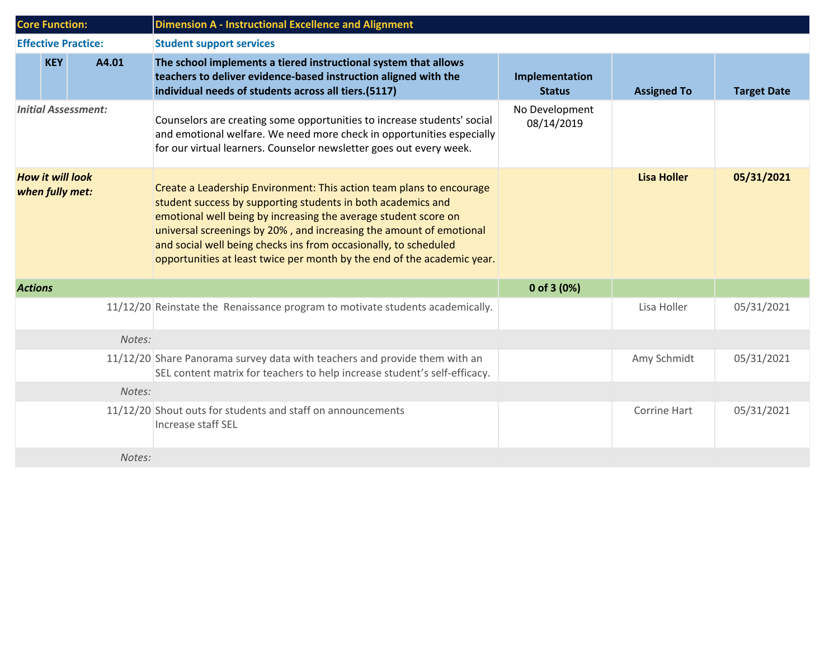| <b>Core Function:</b>                      |                            | <b>Dimension A - Instructional Excellence and Alignment</b>                                                                                                                                                                                                                                                                                                                                                                   |                                 |                    |                    |  |  |
|--------------------------------------------|----------------------------|-------------------------------------------------------------------------------------------------------------------------------------------------------------------------------------------------------------------------------------------------------------------------------------------------------------------------------------------------------------------------------------------------------------------------------|---------------------------------|--------------------|--------------------|--|--|
|                                            | <b>Effective Practice:</b> | <b>Student support services</b>                                                                                                                                                                                                                                                                                                                                                                                               |                                 |                    |                    |  |  |
|                                            | <b>KEY</b><br>A4.01        | The school implements a tiered instructional system that allows<br>teachers to deliver evidence-based instruction aligned with the<br>individual needs of students across all tiers.(5117)                                                                                                                                                                                                                                    | Implementation<br><b>Status</b> | <b>Assigned To</b> | <b>Target Date</b> |  |  |
|                                            | <b>Initial Assessment:</b> | Counselors are creating some opportunities to increase students' social<br>and emotional welfare. We need more check in opportunities especially<br>for our virtual learners. Counselor newsletter goes out every week.                                                                                                                                                                                                       | No Development<br>08/14/2019    |                    |                    |  |  |
| <b>How it will look</b><br>when fully met: |                            | Create a Leadership Environment: This action team plans to encourage<br>student success by supporting students in both academics and<br>emotional well being by increasing the average student score on<br>universal screenings by 20%, and increasing the amount of emotional<br>and social well being checks ins from occasionally, to scheduled<br>opportunities at least twice per month by the end of the academic year. |                                 | <b>Lisa Holler</b> | 05/31/2021         |  |  |
| <b>Actions</b>                             |                            |                                                                                                                                                                                                                                                                                                                                                                                                                               | 0 of 3 $(0%)$                   |                    |                    |  |  |
|                                            |                            | 11/12/20 Reinstate the Renaissance program to motivate students academically.                                                                                                                                                                                                                                                                                                                                                 |                                 | Lisa Holler        | 05/31/2021         |  |  |
|                                            | Notes:                     |                                                                                                                                                                                                                                                                                                                                                                                                                               |                                 |                    |                    |  |  |
|                                            |                            | 11/12/20 Share Panorama survey data with teachers and provide them with an<br>SEL content matrix for teachers to help increase student's self-efficacy.                                                                                                                                                                                                                                                                       |                                 | Amy Schmidt        | 05/31/2021         |  |  |
| Notes:                                     |                            |                                                                                                                                                                                                                                                                                                                                                                                                                               |                                 |                    |                    |  |  |
|                                            |                            | 11/12/20 Shout outs for students and staff on announcements<br>Increase staff SEL                                                                                                                                                                                                                                                                                                                                             |                                 | Corrine Hart       | 05/31/2021         |  |  |
|                                            | Notes:                     |                                                                                                                                                                                                                                                                                                                                                                                                                               |                                 |                    |                    |  |  |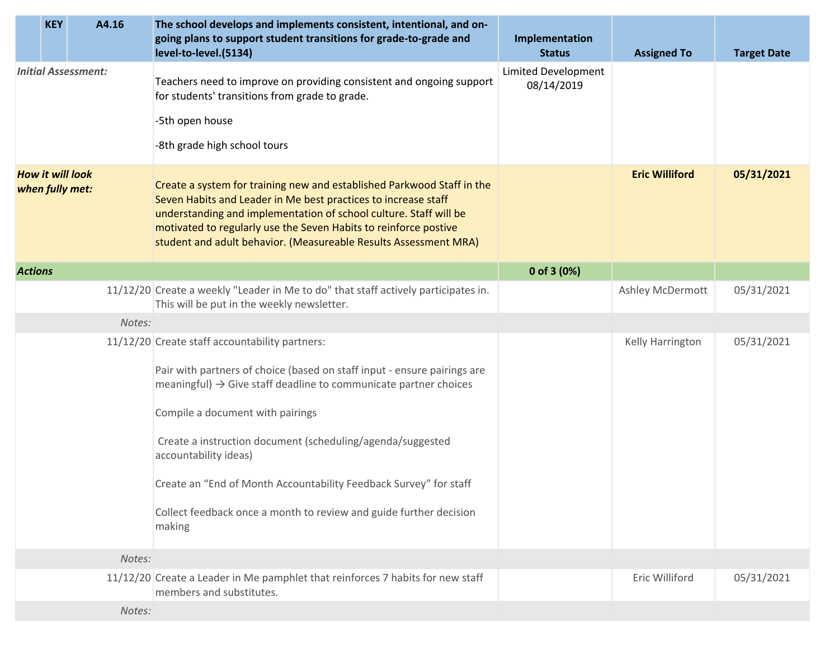|                                            | <b>KEY</b> | A4.16                      | The school develops and implements consistent, intentional, and on-<br>going plans to support student transitions for grade-to-grade and<br>level-to-level.(5134)                                                                                                                                                                                                                                                                                                                          | Implementation<br><b>Status</b>   | <b>Assigned To</b>    | <b>Target Date</b> |
|--------------------------------------------|------------|----------------------------|--------------------------------------------------------------------------------------------------------------------------------------------------------------------------------------------------------------------------------------------------------------------------------------------------------------------------------------------------------------------------------------------------------------------------------------------------------------------------------------------|-----------------------------------|-----------------------|--------------------|
|                                            |            | <b>Initial Assessment:</b> | Teachers need to improve on providing consistent and ongoing support<br>for students' transitions from grade to grade.<br>-5th open house<br>-8th grade high school tours                                                                                                                                                                                                                                                                                                                  | Limited Development<br>08/14/2019 |                       |                    |
| <b>How it will look</b><br>when fully met: |            |                            | Create a system for training new and established Parkwood Staff in the<br>Seven Habits and Leader in Me best practices to increase staff<br>understanding and implementation of school culture. Staff will be<br>motivated to regularly use the Seven Habits to reinforce postive<br>student and adult behavior. (Measureable Results Assessment MRA)                                                                                                                                      |                                   | <b>Eric Williford</b> | 05/31/2021         |
| <b>Actions</b>                             |            |                            |                                                                                                                                                                                                                                                                                                                                                                                                                                                                                            | 0 of 3 $(0%)$                     |                       |                    |
|                                            |            |                            | 11/12/20 Create a weekly "Leader in Me to do" that staff actively participates in.<br>This will be put in the weekly newsletter.                                                                                                                                                                                                                                                                                                                                                           |                                   | Ashley McDermott      | 05/31/2021         |
|                                            |            | Notes:                     |                                                                                                                                                                                                                                                                                                                                                                                                                                                                                            |                                   |                       |                    |
|                                            |            |                            | 11/12/20 Create staff accountability partners:<br>Pair with partners of choice (based on staff input - ensure pairings are<br>meaningful) $\rightarrow$ Give staff deadline to communicate partner choices<br>Compile a document with pairings<br>Create a instruction document (scheduling/agenda/suggested<br>accountability ideas)<br>Create an "End of Month Accountability Feedback Survey" for staff<br>Collect feedback once a month to review and guide further decision<br>making |                                   | Kelly Harrington      | 05/31/2021         |
|                                            |            | Notes:                     |                                                                                                                                                                                                                                                                                                                                                                                                                                                                                            |                                   |                       |                    |
|                                            |            |                            | 11/12/20 Create a Leader in Me pamphlet that reinforces 7 habits for new staff<br>members and substitutes.                                                                                                                                                                                                                                                                                                                                                                                 |                                   | Eric Williford        | 05/31/2021         |
|                                            |            | Notes:                     |                                                                                                                                                                                                                                                                                                                                                                                                                                                                                            |                                   |                       |                    |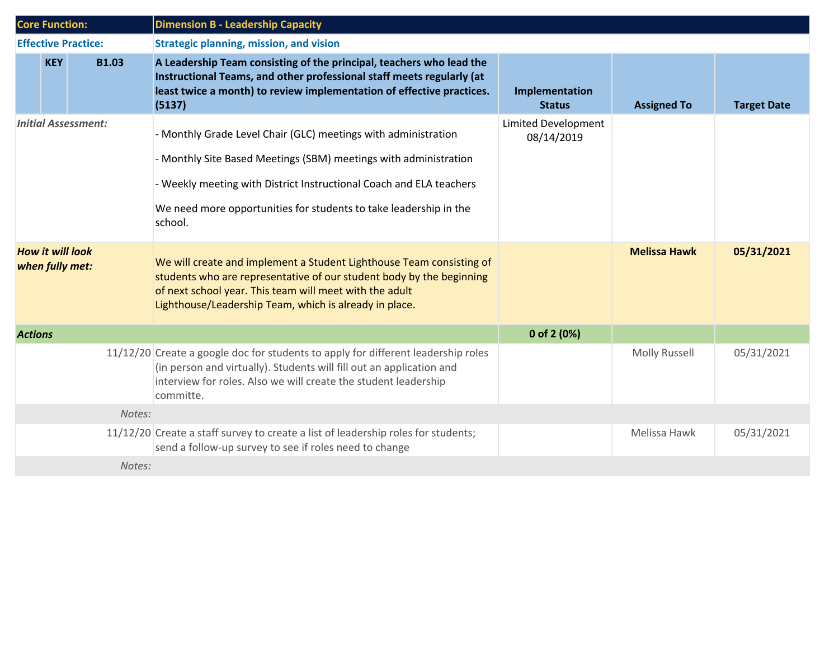| <b>Core Function:</b>                      |              | <b>Dimension B - Leadership Capacity</b>                                                                                                                                                                                                                          |                                          |                      |                    |  |  |
|--------------------------------------------|--------------|-------------------------------------------------------------------------------------------------------------------------------------------------------------------------------------------------------------------------------------------------------------------|------------------------------------------|----------------------|--------------------|--|--|
| <b>Effective Practice:</b>                 |              | <b>Strategic planning, mission, and vision</b>                                                                                                                                                                                                                    |                                          |                      |                    |  |  |
| <b>KEY</b>                                 | <b>B1.03</b> | A Leadership Team consisting of the principal, teachers who lead the<br>Instructional Teams, and other professional staff meets regularly (at<br>least twice a month) to review implementation of effective practices.<br>(5137)                                  | Implementation<br><b>Status</b>          | <b>Assigned To</b>   | <b>Target Date</b> |  |  |
| <b>Initial Assessment:</b>                 |              | - Monthly Grade Level Chair (GLC) meetings with administration                                                                                                                                                                                                    | <b>Limited Development</b><br>08/14/2019 |                      |                    |  |  |
|                                            |              | - Monthly Site Based Meetings (SBM) meetings with administration                                                                                                                                                                                                  |                                          |                      |                    |  |  |
|                                            |              | - Weekly meeting with District Instructional Coach and ELA teachers                                                                                                                                                                                               |                                          |                      |                    |  |  |
|                                            |              | We need more opportunities for students to take leadership in the<br>school.                                                                                                                                                                                      |                                          |                      |                    |  |  |
| <b>How it will look</b><br>when fully met: |              | We will create and implement a Student Lighthouse Team consisting of<br>students who are representative of our student body by the beginning<br>of next school year. This team will meet with the adult<br>Lighthouse/Leadership Team, which is already in place. |                                          | <b>Melissa Hawk</b>  | 05/31/2021         |  |  |
| <b>Actions</b>                             |              |                                                                                                                                                                                                                                                                   | 0 of 2 (0%)                              |                      |                    |  |  |
|                                            |              | 11/12/20 Create a google doc for students to apply for different leadership roles<br>(in person and virtually). Students will fill out an application and<br>interview for roles. Also we will create the student leadership<br>committe.                         |                                          | <b>Molly Russell</b> | 05/31/2021         |  |  |
| Notes:                                     |              |                                                                                                                                                                                                                                                                   |                                          |                      |                    |  |  |
|                                            |              | 11/12/20 Create a staff survey to create a list of leadership roles for students;<br>send a follow-up survey to see if roles need to change                                                                                                                       |                                          | Melissa Hawk         | 05/31/2021         |  |  |
| Notes:                                     |              |                                                                                                                                                                                                                                                                   |                                          |                      |                    |  |  |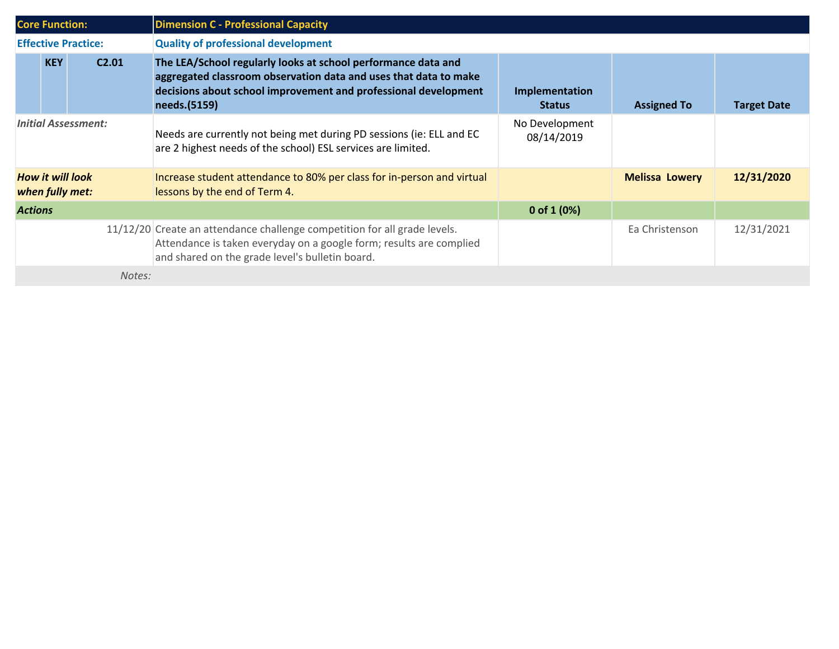| <b>Core Function:</b>                      |            |                   | <b>Dimension C - Professional Capacity</b>                                                                                                                                                                           |                                 |                       |                    |  |  |
|--------------------------------------------|------------|-------------------|----------------------------------------------------------------------------------------------------------------------------------------------------------------------------------------------------------------------|---------------------------------|-----------------------|--------------------|--|--|
| <b>Effective Practice:</b>                 |            |                   | <b>Quality of professional development</b>                                                                                                                                                                           |                                 |                       |                    |  |  |
|                                            | <b>KEY</b> | C <sub>2.01</sub> | The LEA/School regularly looks at school performance data and<br>aggregated classroom observation data and uses that data to make<br>decisions about school improvement and professional development<br>needs.(5159) | Implementation<br><b>Status</b> | <b>Assigned To</b>    | <b>Target Date</b> |  |  |
| <b>Initial Assessment:</b>                 |            |                   | Needs are currently not being met during PD sessions (ie: ELL and EC<br>are 2 highest needs of the school) ESL services are limited.                                                                                 | No Development<br>08/14/2019    |                       |                    |  |  |
| <b>How it will look</b><br>when fully met: |            |                   | Increase student attendance to 80% per class for in-person and virtual<br>lessons by the end of Term 4.                                                                                                              |                                 | <b>Melissa Lowery</b> | 12/31/2020         |  |  |
| <b>Actions</b>                             |            |                   |                                                                                                                                                                                                                      | 0 of $1(0%)$                    |                       |                    |  |  |
|                                            |            |                   | 11/12/20 Create an attendance challenge competition for all grade levels.<br>Attendance is taken everyday on a google form; results are complied<br>and shared on the grade level's bulletin board.                  |                                 | Ea Christenson        | 12/31/2021         |  |  |
| Notes:                                     |            |                   |                                                                                                                                                                                                                      |                                 |                       |                    |  |  |